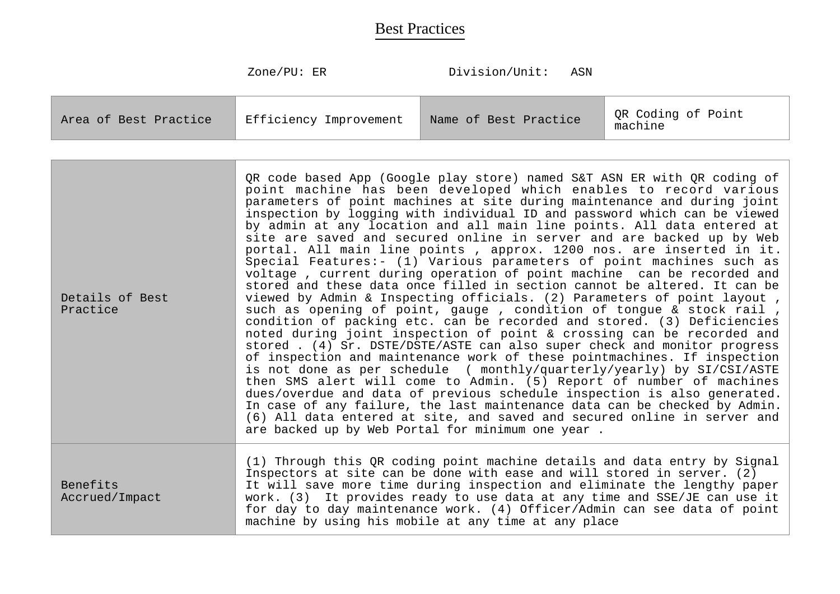| Efficiency Improvement<br>Area of Best Practice | Name of Best Practice | QR Coding of Point<br>machine |
|-------------------------------------------------|-----------------------|-------------------------------|
|-------------------------------------------------|-----------------------|-------------------------------|

| Details of Best<br>Practice | QR code based App (Google play store) named S&T ASN ER with QR coding of<br>point machine has been developed which enables to record various<br>parameters of point machines at site during maintenance and during joint<br>inspection by logging with individual ID and password which can be viewed<br>by admin at any location and all main line points. All data entered at<br>site are saved and secured online in server and are backed up by Web<br>portal. All main line points, approx. 1200 nos. are inserted in it.<br>Special Features:- (1) Various parameters of point machines such as<br>voltage, current during operation of point machine can be recorded and<br>stored and these data once filled in section cannot be altered. It can be<br>viewed by Admin & Inspecting officials. (2) Parameters of point layout,<br>such as opening of point, gauge, condition of tongue & stock rail,<br>condition of packing etc. can be recorded and stored. (3) Deficiencies<br>noted during joint inspection of point & crossing can be recorded and<br>stored . (4) Sr. DSTE/DSTE/ASTE can also super check and monitor progress<br>of inspection and maintenance work of these pointmachines. If inspection<br>is not done as per schedule ( monthly/quarterly/yearly) by SI/CSI/ASTE<br>then SMS alert will come to Admin. (5) Report of number of machines<br>dues/overdue and data of previous schedule inspection is also generated.<br>In case of any failure, the last maintenance data can be checked by Admin.<br>(6) All data entered at site, and saved and secured online in server and<br>are backed up by Web Portal for minimum one year. |
|-----------------------------|-----------------------------------------------------------------------------------------------------------------------------------------------------------------------------------------------------------------------------------------------------------------------------------------------------------------------------------------------------------------------------------------------------------------------------------------------------------------------------------------------------------------------------------------------------------------------------------------------------------------------------------------------------------------------------------------------------------------------------------------------------------------------------------------------------------------------------------------------------------------------------------------------------------------------------------------------------------------------------------------------------------------------------------------------------------------------------------------------------------------------------------------------------------------------------------------------------------------------------------------------------------------------------------------------------------------------------------------------------------------------------------------------------------------------------------------------------------------------------------------------------------------------------------------------------------------------------------------------------------------------------------------------------------------------|
| Benefits<br>Accrued/Impact  | (1) Through this QR coding point machine details and data entry by Signal<br>Inspectors at site can be done with ease and will stored in server. (2)<br>It will save more time during inspection and eliminate the lengthy paper<br>work. (3) It provides ready to use data at any time and SSE/JE can use it<br>for day to day maintenance work. (4) Officer/Admin can see data of point<br>machine by using his mobile at any time at any place                                                                                                                                                                                                                                                                                                                                                                                                                                                                                                                                                                                                                                                                                                                                                                                                                                                                                                                                                                                                                                                                                                                                                                                                                     |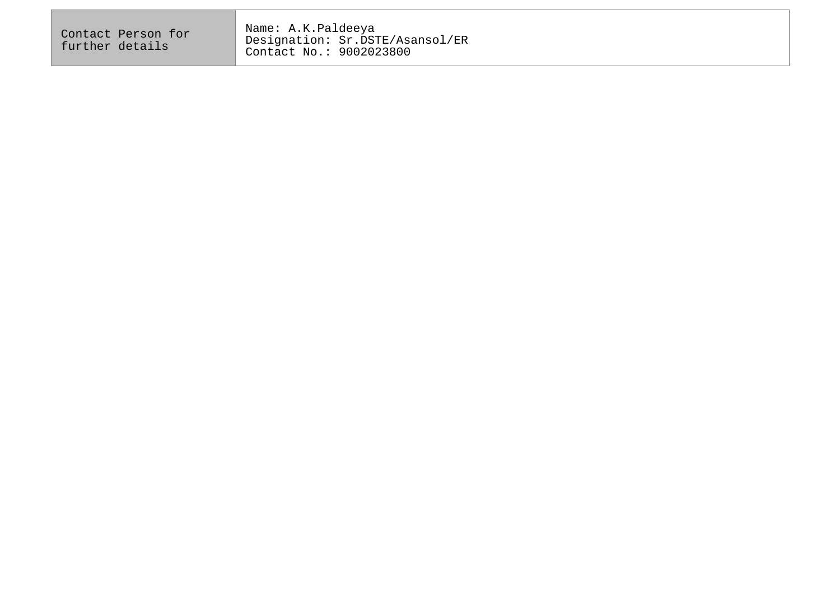| Name: A.K.Paldeeya<br>Contact Person for<br>Designation: Sr.DSTE/Asansol/ER<br>further details<br>Contact No.: 9002023800 |  |
|---------------------------------------------------------------------------------------------------------------------------|--|
|---------------------------------------------------------------------------------------------------------------------------|--|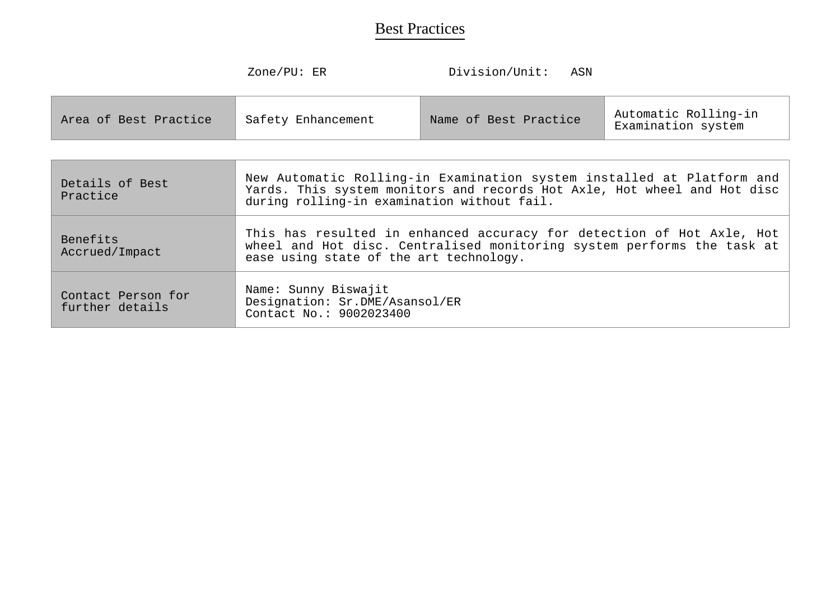$\overline{\phantom{a}}$ 

| Area of Best Practice<br>Safety Enhancement | Name of Best Practice | Automatic Rolling-in<br>Examination system |
|---------------------------------------------|-----------------------|--------------------------------------------|
|---------------------------------------------|-----------------------|--------------------------------------------|

| Details of Best<br>Practice           | New Automatic Rolling-in Examination system installed at Platform and<br>Yards. This system monitors and records Hot Axle, Hot wheel and Hot disc<br>during rolling-in examination without fail. |
|---------------------------------------|--------------------------------------------------------------------------------------------------------------------------------------------------------------------------------------------------|
| Benefits<br>Accrued/Impact            | This has resulted in enhanced accuracy for detection of Hot Axle, Hot<br>wheel and Hot disc. Centralised monitoring system performs the task at<br>ease using state of the art technology.       |
| Contact Person for<br>further details | Name: Sunny Biswajit<br>Designation: Sr.DME/Asansol/ER<br>Contact No.: 9002023400                                                                                                                |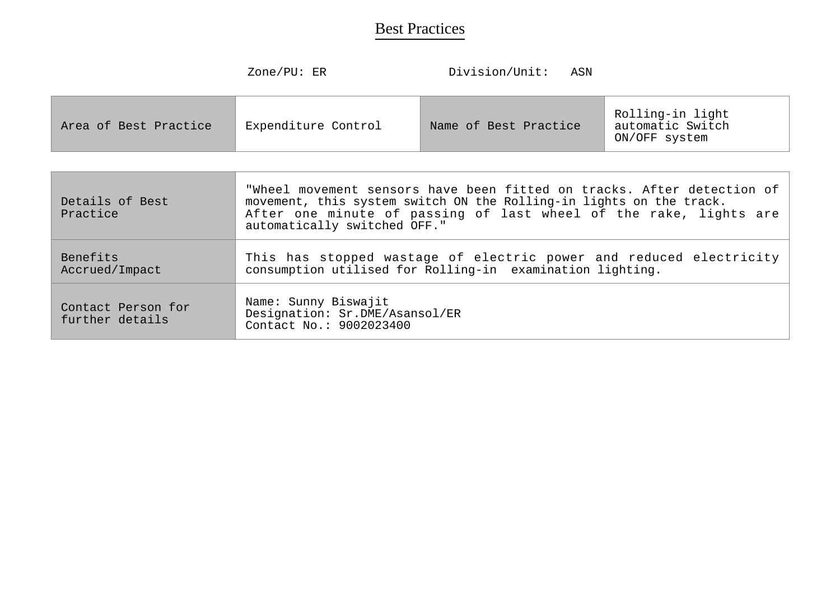ON/OFF system

|                       | Zone/PU: ER         | Division/Unit:        | ASN |                                      |
|-----------------------|---------------------|-----------------------|-----|--------------------------------------|
| Area of Best Practice | Expenditure Control | Name of Best Practice |     | Rolling-in light<br>automatic Switch |

| Details of Best<br>Practice           | "Wheel movement sensors have been fitted on tracks. After detection of<br>movement, this system switch ON the Rolling-in lights on the track.<br>After one minute of passing of last wheel of the rake, lights are<br>automatically switched OFF." |
|---------------------------------------|----------------------------------------------------------------------------------------------------------------------------------------------------------------------------------------------------------------------------------------------------|
| Benefits<br>Accrued/Impact            | This has stopped wastage of electric power and reduced electricity<br>consumption utilised for Rolling-in examination lighting.                                                                                                                    |
| Contact Person for<br>further details | Name: Sunny Biswajit<br>Designation: Sr.DME/Asansol/ER<br>Contact No.: 9002023400                                                                                                                                                                  |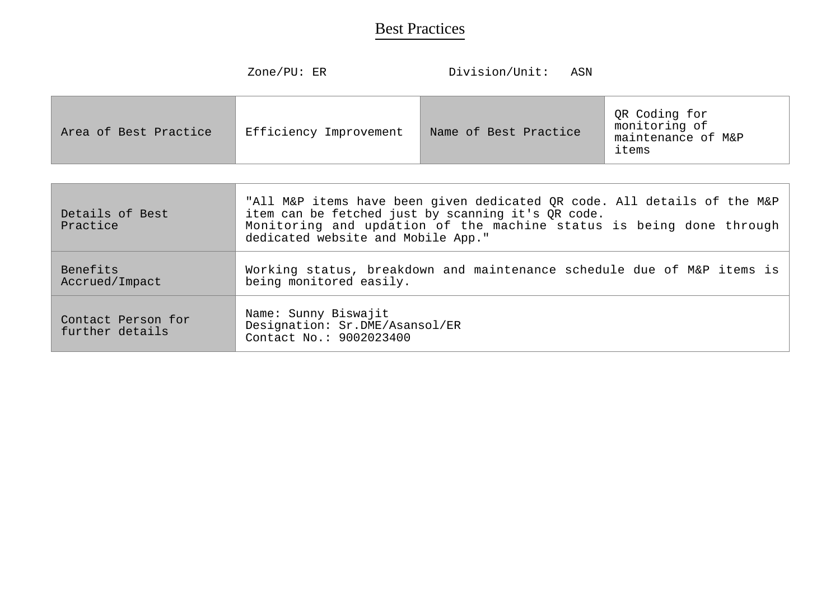| Zone/PU: $ER$ |  |
|---------------|--|
|---------------|--|

Division/Unit: ASN

| Area of Best Practice | Efficiency Improvement | Name of Best Practice | QR Coding for<br>monitoring of<br>maintenance of M&P<br>items |
|-----------------------|------------------------|-----------------------|---------------------------------------------------------------|
|-----------------------|------------------------|-----------------------|---------------------------------------------------------------|

| Details of Best<br>Practice           | "All M&P items have been given dedicated QR code. All details of the M&P<br>item can be fetched just by scanning it's QR code.<br>Monitoring and updation of the machine status is being done through<br>dedicated website and Mobile App." |
|---------------------------------------|---------------------------------------------------------------------------------------------------------------------------------------------------------------------------------------------------------------------------------------------|
| <b>Benefits</b><br>Accrued/Impact     | Working status, breakdown and maintenance schedule due of M&P items is<br>being monitored easily.                                                                                                                                           |
| Contact Person for<br>further details | Name: Sunny Biswajit<br>Designation: Sr.DME/Asansol/ER<br>Contact No.: 9002023400                                                                                                                                                           |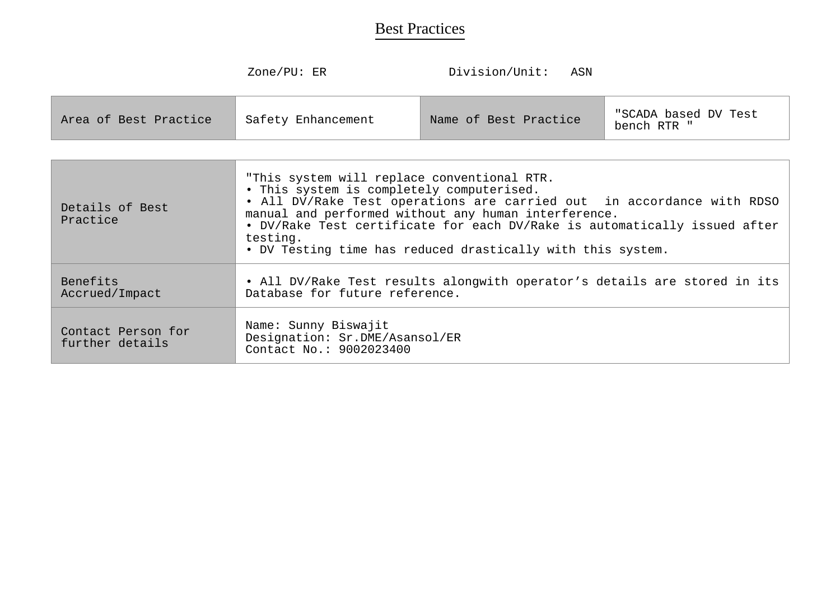| bench RTR | Area of Best Practice | Safety Enhancement | Name of Best Practice | "SCADA based DV Test |
|-----------|-----------------------|--------------------|-----------------------|----------------------|
|-----------|-----------------------|--------------------|-----------------------|----------------------|

| Details of Best<br>Practice           | "This system will replace conventional RTR.<br>. This system is completely computerised.<br>. All DV/Rake Test operations are carried out in accordance with RDSO<br>manual and performed without any human interference.<br>. DV/Rake Test certificate for each DV/Rake is automatically issued after<br>testing.<br>. DV Testing time has reduced drastically with this system. |
|---------------------------------------|-----------------------------------------------------------------------------------------------------------------------------------------------------------------------------------------------------------------------------------------------------------------------------------------------------------------------------------------------------------------------------------|
| <b>Benefits</b><br>Accrued/Impact     | . All DV/Rake Test results alongwith operator's details are stored in its<br>Database for future reference.                                                                                                                                                                                                                                                                       |
| Contact Person for<br>further details | Name: Sunny Biswajit<br>Designation: Sr.DME/Asansol/ER<br>Contact No.: 9002023400                                                                                                                                                                                                                                                                                                 |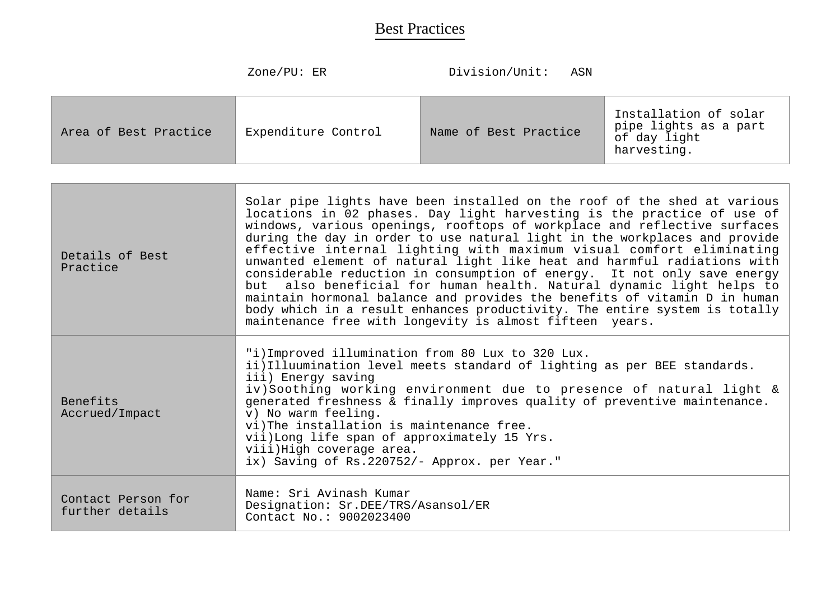|                       | Zone/PU: ER         | Division/Unit:<br>ASN |                                                                               |
|-----------------------|---------------------|-----------------------|-------------------------------------------------------------------------------|
| Area of Best Practice | Expenditure Control | Name of Best Practice | Installation of solar<br>pipe lights as a part<br>of day light<br>harvesting. |

| Details of Best<br>Practice           | Solar pipe lights have been installed on the roof of the shed at various<br>locations in 02 phases. Day light harvesting is the practice of use of<br>windows, various openings, rooftops of workplace and reflective surfaces<br>during the day in order to use natural light in the workplaces and provide<br>effective internal lighting with maximum visual comfort eliminating<br>unwanted element of natural light like heat and harmful radiations with<br>considerable reduction in consumption of energy. It not only save energy<br>also beneficial for human health. Natural dynamic light helps to<br>but<br>maintain hormonal balance and provides the benefits of vitamin D in human<br>body which in a result enhances productivity. The entire system is totally<br>maintenance free with longevity is almost fifteen years. |
|---------------------------------------|----------------------------------------------------------------------------------------------------------------------------------------------------------------------------------------------------------------------------------------------------------------------------------------------------------------------------------------------------------------------------------------------------------------------------------------------------------------------------------------------------------------------------------------------------------------------------------------------------------------------------------------------------------------------------------------------------------------------------------------------------------------------------------------------------------------------------------------------|
| Benefits<br>Accrued/Impact            | "i) Improved illumination from 80 Lux to 320 Lux.<br>ii) Illuumination level meets standard of lighting as per BEE standards.<br>iii) Energy saving<br>iv)Soothing working environment due to presence of natural light &<br>generated freshness & finally improves quality of preventive maintenance.<br>v) No warm feeling.<br>vi)The installation is maintenance free.<br>vii) Long life span of approximately 15 Yrs.<br>viii) High coverage area.<br>ix) Saving of Rs.220752/- Approx. per Year."                                                                                                                                                                                                                                                                                                                                       |
| Contact Person for<br>further details | Name: Sri Avinash Kumar<br>Designation: Sr.DEE/TRS/Asansol/ER<br>Contact No.: 9002023400                                                                                                                                                                                                                                                                                                                                                                                                                                                                                                                                                                                                                                                                                                                                                     |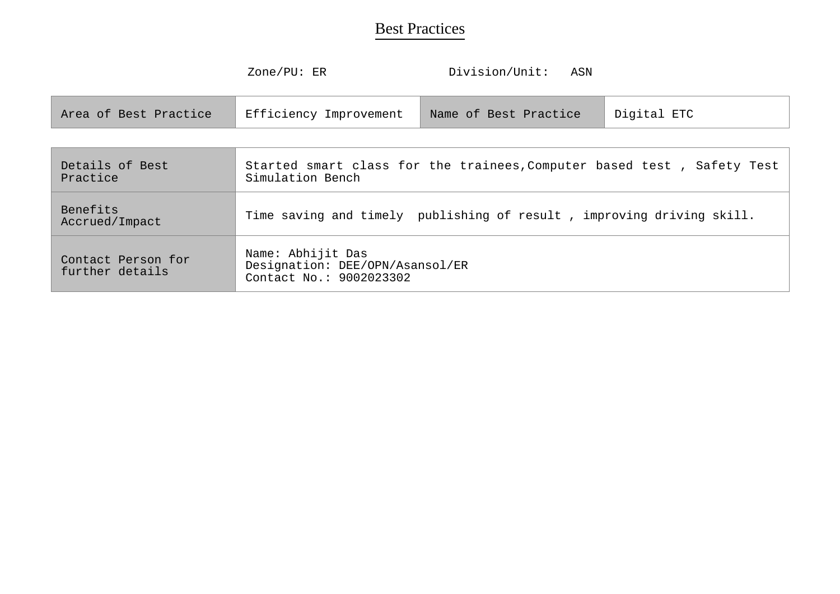|                                       | Zone/PU: ER                                                                                | Division/Unit:        | ASN |             |
|---------------------------------------|--------------------------------------------------------------------------------------------|-----------------------|-----|-------------|
| Area of Best Practice                 | Efficiency Improvement                                                                     | Name of Best Practice |     | Digital ETC |
|                                       |                                                                                            |                       |     |             |
| Details of Best<br>Practice           | Started smart class for the trainees, Computer based test, Safety Test<br>Simulation Bench |                       |     |             |
| Benefits<br>Accrued/Impact            | Time saving and timely publishing of result, improving driving skill.                      |                       |     |             |
| Contact Person for<br>further details | Name: Abhijit Das<br>Designation: DEE/OPN/Asansol/ER<br>Contact No.: 9002023302            |                       |     |             |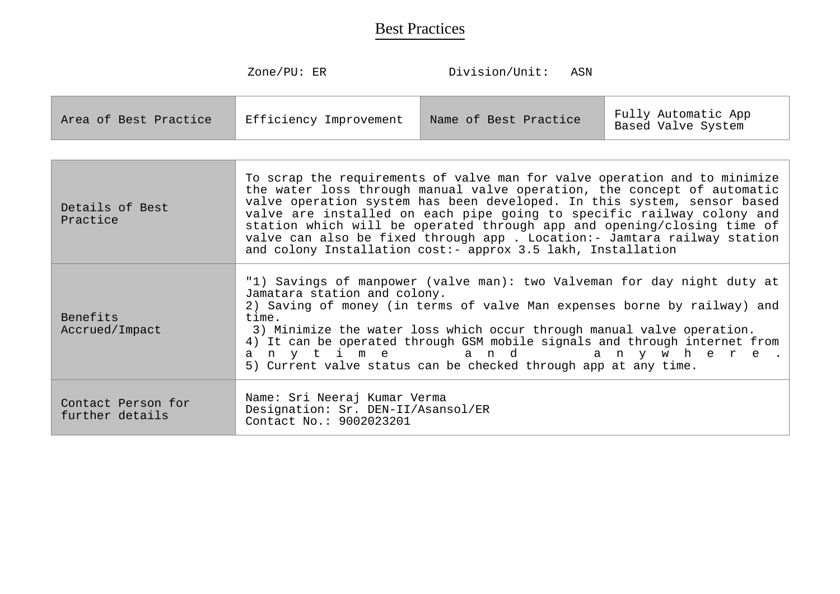| Efficiency Improvement<br>Area of Best Practice | Name of Best Practice | Fully Automatic App<br>Based Valve System |
|-------------------------------------------------|-----------------------|-------------------------------------------|
|-------------------------------------------------|-----------------------|-------------------------------------------|

| Details of Best<br>Practice           | To scrap the requirements of valve man for valve operation and to minimize<br>the water loss through manual valve operation, the concept of automatic<br>valve operation system has been developed. In this system, sensor based<br>valve are installed on each pipe going to specific railway colony and<br>station which will be operated through app and opening/closing time of<br>valve can also be fixed through app . Location:- Jamtara railway station<br>and colony Installation cost:- approx 3.5 lakh, Installation |
|---------------------------------------|---------------------------------------------------------------------------------------------------------------------------------------------------------------------------------------------------------------------------------------------------------------------------------------------------------------------------------------------------------------------------------------------------------------------------------------------------------------------------------------------------------------------------------|
| Benefits<br>Accrued/Impact            | "1) Savings of manpower (valve man): two Valveman for day night duty at<br>Jamatara station and colony.<br>2) Saving of money (in terms of valve Man expenses borne by railway) and<br>time.<br>3) Minimize the water loss which occur through manual valve operation.<br>4) It can be operated through GSM mobile signals and through internet from<br>any time and any where.<br>5) Current valve status can be checked through app at any time.                                                                              |
| Contact Person for<br>further details | Name: Sri Neeraj Kumar Verma<br>Designation: Sr. DEN-II/Asansol/ER<br>Contact No.: 9002023201                                                                                                                                                                                                                                                                                                                                                                                                                                   |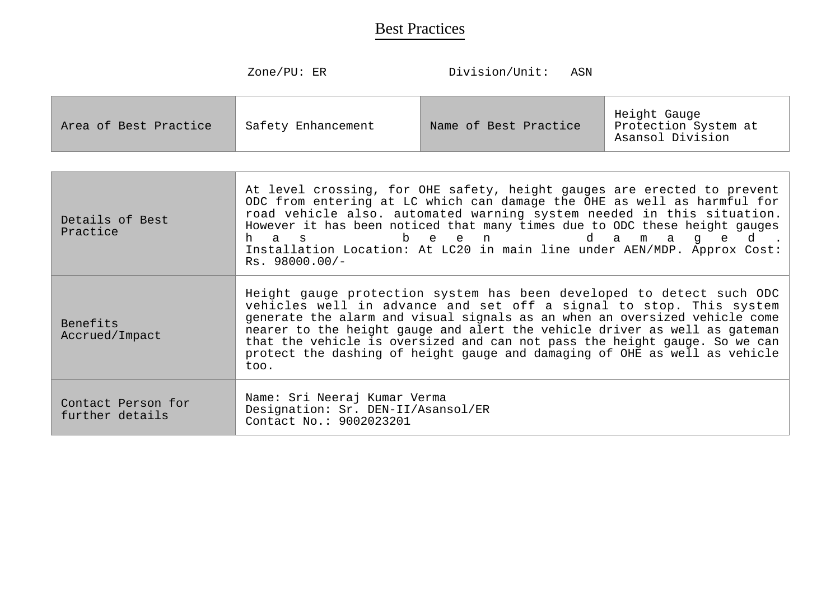| Area of Best Practice | Safety Enhancement | Name of Best Practice | Height Gauge<br>Protection System at<br>Asansol Division |
|-----------------------|--------------------|-----------------------|----------------------------------------------------------|
|-----------------------|--------------------|-----------------------|----------------------------------------------------------|

| Details of Best<br>Practice           | At level crossing, for OHE safety, height gauges are erected to prevent<br>ODC from entering at LC which can damage the OHE as well as harmful for<br>road vehicle also. automated warning system needed in this situation.<br>However it has been noticed that many times due to ODC these height gauges<br>be en<br>da ma<br>h a s<br>q<br>d<br>e<br>Installation Location: At LC20 in main line under AEN/MDP. Approx Cost:<br>$Rs. 98000.00/-$                         |
|---------------------------------------|----------------------------------------------------------------------------------------------------------------------------------------------------------------------------------------------------------------------------------------------------------------------------------------------------------------------------------------------------------------------------------------------------------------------------------------------------------------------------|
| Benefits<br>Accrued/Impact            | Height gauge protection system has been developed to detect such ODC<br>vehicles well in advance and set off a signal to stop. This system<br>generate the alarm and visual signals as an when an oversized vehicle come<br>nearer to the height gauge and alert the vehicle driver as well as gateman<br>that the vehicle is oversized and can not pass the height gauge. So we can<br>protect the dashing of height gauge and damaging of OHE as well as vehicle<br>too. |
| Contact Person for<br>further details | Name: Sri Neeraj Kumar Verma<br>Designation: Sr. DEN-II/Asansol/ER<br>Contact No.: 9002023201                                                                                                                                                                                                                                                                                                                                                                              |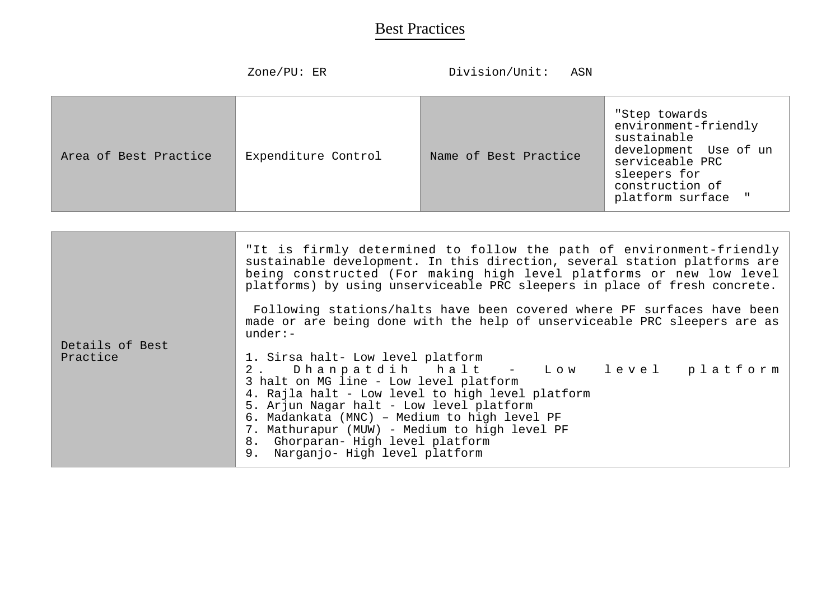|                       | Zone/PU: ER         | Division/Unit:<br>ASN |                                                                                                                                                           |
|-----------------------|---------------------|-----------------------|-----------------------------------------------------------------------------------------------------------------------------------------------------------|
| Area of Best Practice | Expenditure Control | Name of Best Practice | "Step towards<br>environment-friendly<br>sustainable<br>development Use of un<br>serviceable PRC<br>sleepers for<br>construction of<br>platform surface " |

|                 | "It is firmly determined to follow the path of environment-friendly<br>sustainable development. In this direction, several station platforms are<br>being constructed (For making high level platforms or new low level<br>platforms) by using unserviceable PRC sleepers in place of fresh concrete. |
|-----------------|-------------------------------------------------------------------------------------------------------------------------------------------------------------------------------------------------------------------------------------------------------------------------------------------------------|
|                 |                                                                                                                                                                                                                                                                                                       |
|                 | Following stations/halts have been covered where PF surfaces have been                                                                                                                                                                                                                                |
|                 | made or are being done with the help of unserviceable PRC sleepers are as<br>$under:-$                                                                                                                                                                                                                |
|                 |                                                                                                                                                                                                                                                                                                       |
| Details of Best |                                                                                                                                                                                                                                                                                                       |
| Practice        | 1. Sirsa halt- Low level platform                                                                                                                                                                                                                                                                     |
|                 | 2. Dhanpatdih halt - Low level platform                                                                                                                                                                                                                                                               |
|                 | 3 halt on MG line - Low level platform                                                                                                                                                                                                                                                                |
|                 | 4. Rajla halt - Low level to high level platform                                                                                                                                                                                                                                                      |
|                 | 5. Arjun Nagar halt - Low level platform                                                                                                                                                                                                                                                              |
|                 | 6. Madankata (MNC) - Medium to high level PF                                                                                                                                                                                                                                                          |
|                 |                                                                                                                                                                                                                                                                                                       |
|                 | 7. Mathurapur (MUW) - Medium to high level PF                                                                                                                                                                                                                                                         |
|                 | 8. Ghorparan- High level platform                                                                                                                                                                                                                                                                     |
|                 | 9. Narganjo- High level platform                                                                                                                                                                                                                                                                      |
|                 |                                                                                                                                                                                                                                                                                                       |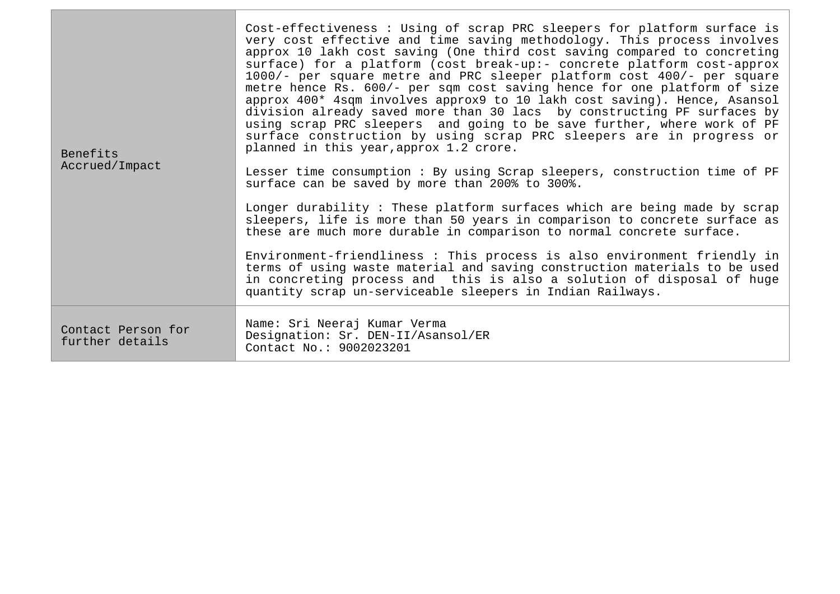| <b>Benefits</b><br>Accrued/Impact     | Cost-effectiveness: Using of scrap PRC sleepers for platform surface is<br>very cost effective and time saving methodology. This process involves<br>approx 10 lakh cost saving (One third cost saving compared to concreting<br>surface) for a platform (cost break-up:- concrete platform cost-approx<br>1000/- per square metre and PRC sleeper platform cost 400/- per square<br>metre hence Rs. 600/- per sqm cost saving hence for one platform of size<br>approx 400* 4sqm involves approx9 to 10 lakh cost saving). Hence, Asansol<br>division already saved more than 30 lacs by constructing PF surfaces by<br>using scrap PRC sleepers and going to be save further, where work of PF<br>surface construction by using scrap PRC sleepers are in progress or<br>planned in this year, approx 1.2 crore.<br>Lesser time consumption: By using Scrap sleepers, construction time of PF<br>surface can be saved by more than 200% to 300%. |
|---------------------------------------|----------------------------------------------------------------------------------------------------------------------------------------------------------------------------------------------------------------------------------------------------------------------------------------------------------------------------------------------------------------------------------------------------------------------------------------------------------------------------------------------------------------------------------------------------------------------------------------------------------------------------------------------------------------------------------------------------------------------------------------------------------------------------------------------------------------------------------------------------------------------------------------------------------------------------------------------------|
|                                       | Longer durability: These platform surfaces which are being made by scrap<br>sleepers, life is more than 50 years in comparison to concrete surface as<br>these are much more durable in comparison to normal concrete surface.                                                                                                                                                                                                                                                                                                                                                                                                                                                                                                                                                                                                                                                                                                                     |
|                                       | Environment-friendliness : This process is also environment friendly in<br>terms of using waste material and saving construction materials to be used<br>in concreting process and this is also a solution of disposal of huge<br>quantity scrap un-serviceable sleepers in Indian Railways.                                                                                                                                                                                                                                                                                                                                                                                                                                                                                                                                                                                                                                                       |
| Contact Person for<br>further details | Name: Sri Neeraj Kumar Verma<br>Designation: Sr. DEN-II/Asansol/ER<br>Contact No.: 9002023201                                                                                                                                                                                                                                                                                                                                                                                                                                                                                                                                                                                                                                                                                                                                                                                                                                                      |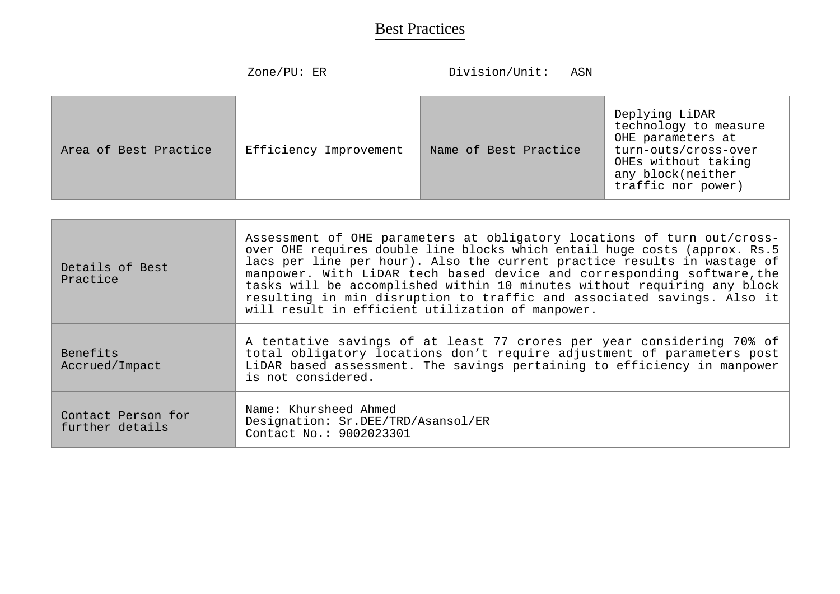|                       | Zone/PU: $ER$          | Division/Unit:<br>ASN |                                                                                                                                                        |
|-----------------------|------------------------|-----------------------|--------------------------------------------------------------------------------------------------------------------------------------------------------|
| Area of Best Practice | Efficiency Improvement | Name of Best Practice | Deplying LiDAR<br>technology to measure<br>OHE parameters at<br>turn-outs/cross-over<br>OHEs without taking<br>any block(neither<br>traffic nor power) |

| Details of Best<br>Practice           | Assessment of OHE parameters at obligatory locations of turn out/cross-<br>over OHE requires double line blocks which entail huge costs (approx. Rs.5<br>lacs per line per hour). Also the current practice results in wastage of<br>manpower. With LiDAR tech based device and corresponding software, the<br>tasks will be accomplished within 10 minutes without requiring any block<br>resulting in min disruption to traffic and associated savings. Also it<br>will result in efficient utilization of manpower. |
|---------------------------------------|------------------------------------------------------------------------------------------------------------------------------------------------------------------------------------------------------------------------------------------------------------------------------------------------------------------------------------------------------------------------------------------------------------------------------------------------------------------------------------------------------------------------|
| Benefits<br>Accrued/Impact            | A tentative savings of at least 77 crores per year considering 70% of<br>total obligatory locations don't require adjustment of parameters post<br>LiDAR based assessment. The savings pertaining to efficiency in manpower<br>is not considered.                                                                                                                                                                                                                                                                      |
| Contact Person for<br>further details | Name: Khursheed Ahmed<br>Designation: Sr.DEE/TRD/Asansol/ER<br>Contact No.: 9002023301                                                                                                                                                                                                                                                                                                                                                                                                                                 |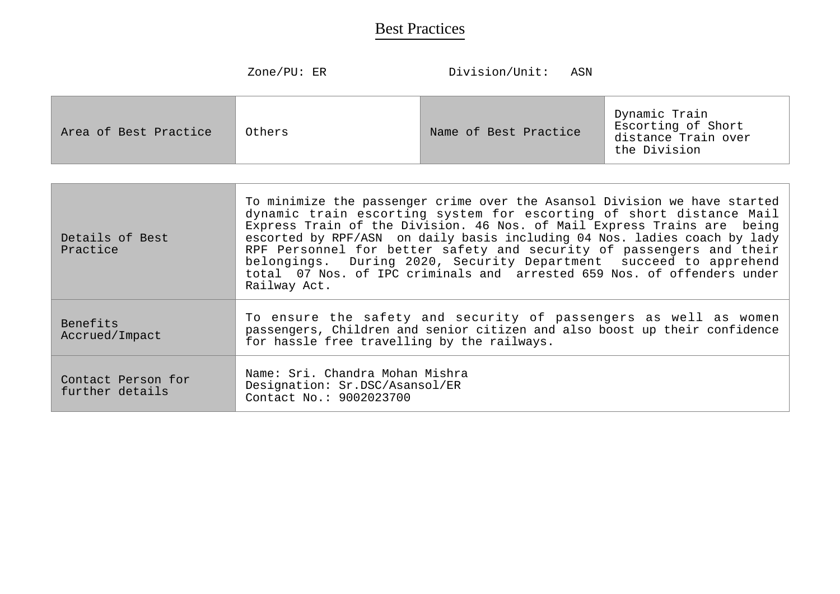| $\text{Zone}/\text{PU}$ : |  |
|---------------------------|--|
|---------------------------|--|

Division/Unit: ASN

| Area of Best Practice | Others | Name of Best Practice | Dynamic Train<br>Escorting of Short<br>distance Train over<br>the Division |
|-----------------------|--------|-----------------------|----------------------------------------------------------------------------|
|-----------------------|--------|-----------------------|----------------------------------------------------------------------------|

| Details of Best<br>Practice           | To minimize the passenger crime over the Asansol Division we have started<br>dynamic train escorting system for escorting of short distance Mail<br>Express Train of the Division. 46 Nos. of Mail Express Trains are being<br>escorted by RPF/ASN on daily basis including 04 Nos. ladies coach by lady<br>RPF Personnel for better safety and security of passengers and their<br>belongings. During 2020, Security Department succeed to apprehend<br>total 07 Nos. of IPC criminals and arrested 659 Nos. of offenders under<br>Railway Act. |
|---------------------------------------|--------------------------------------------------------------------------------------------------------------------------------------------------------------------------------------------------------------------------------------------------------------------------------------------------------------------------------------------------------------------------------------------------------------------------------------------------------------------------------------------------------------------------------------------------|
| <b>Benefits</b><br>Accrued/Impact     | To ensure the safety and security of passengers as well as women<br>passengers, Children and senior citizen and also boost up their confidence<br>for hassle free travelling by the railways.                                                                                                                                                                                                                                                                                                                                                    |
| Contact Person for<br>further details | Name: Sri. Chandra Mohan Mishra<br>Designation: Sr.DSC/Asansol/ER<br>Contact No.: 9002023700                                                                                                                                                                                                                                                                                                                                                                                                                                                     |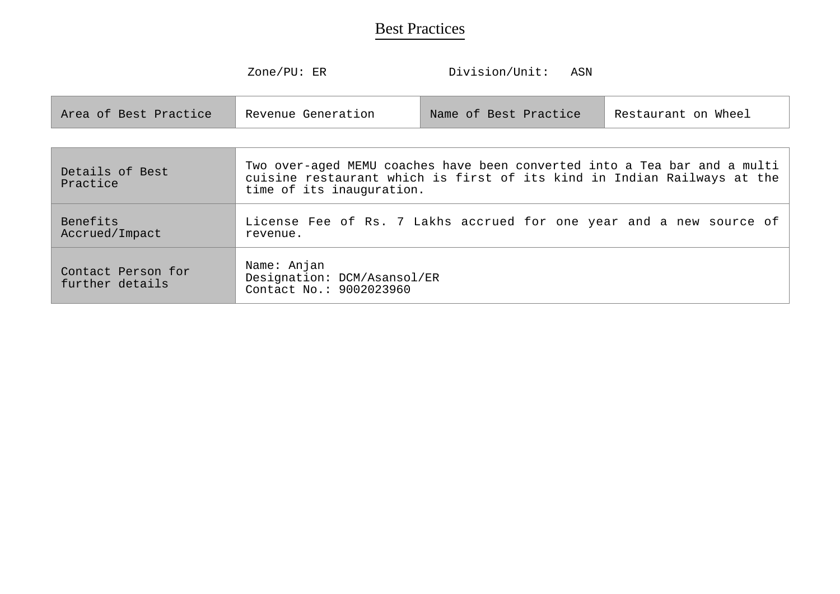|                                       | Zone/PU: ER                                                                                                                                                                       | Division/Unit:<br>ASN |                     |
|---------------------------------------|-----------------------------------------------------------------------------------------------------------------------------------------------------------------------------------|-----------------------|---------------------|
| Area of Best Practice                 | Revenue Generation                                                                                                                                                                | Name of Best Practice | Restaurant on Wheel |
|                                       |                                                                                                                                                                                   |                       |                     |
| Details of Best<br>Practice           | Two over-aged MEMU coaches have been converted into a Tea bar and a multi<br>cuisine restaurant which is first of its kind in Indian Railways at the<br>time of its inauguration. |                       |                     |
| Benefits<br>Accrued/Impact            | License Fee of Rs. 7 Lakhs accrued for one year and a new source of<br>revenue.                                                                                                   |                       |                     |
| Contact Person for<br>further details | Name: Anjan<br>Designation: DCM/Asansol/ER<br>Contact No.: 9002023960                                                                                                             |                       |                     |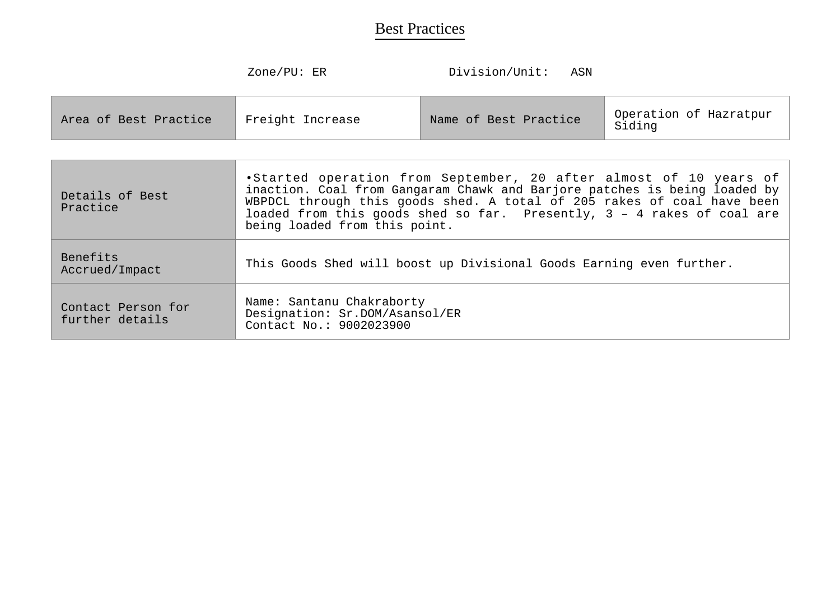| Zone/PU |  |
|---------|--|
|---------|--|

Division/Unit: ASN

| Freight Increase<br>Area of Best Practice | Name of Best Practice | Operation of Hazratpur<br>Siding |
|-------------------------------------------|-----------------------|----------------------------------|
|-------------------------------------------|-----------------------|----------------------------------|

| Details of Best<br>Practice           | .Started operation from September, 20 after almost of 10 years of<br>inaction. Coal from Gangaram Chawk and Barjore patches is being loaded by<br>WBPDCL through this goods shed. A total of 205 rakes of coal have been<br>loaded from this goods shed so far. Presently, 3 - 4 rakes of coal are<br>being loaded from this point. |
|---------------------------------------|-------------------------------------------------------------------------------------------------------------------------------------------------------------------------------------------------------------------------------------------------------------------------------------------------------------------------------------|
| Benefits<br>Accrued/Impact            | This Goods Shed will boost up Divisional Goods Earning even further.                                                                                                                                                                                                                                                                |
| Contact Person for<br>further details | Name: Santanu Chakraborty<br>Designation: Sr.DOM/Asansol/ER<br>Contact No.: 9002023900                                                                                                                                                                                                                                              |